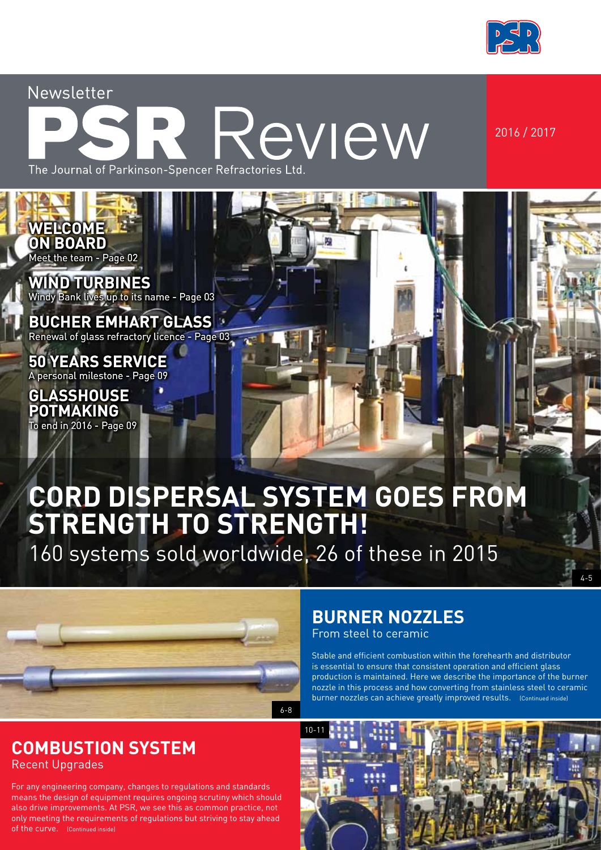

Newsletter

## Review The Journal of Parkinson-Spencer Refractories Ltd

2016 / 2017

4-5

**WELCOME ON BOARD** Meet the team - Page 02

**WIND TURBINES** Windy Bank lives up to its name - Page 03

**BUCHER EMHART GLASS** Renewal of glass refractory licence - Page 03

**50 YEARS SERVICE** A personal milestone - Page 09

**GLASSHOUSE POTMAKING** To end in 2016 - Page 09

## **CORD DISPERSAL SYSTEM GOES FROM STRENGTH TO STRENGTH!**

160 systems sold worldwide, 26 of these in 2015



#### **COMBUSTION SYSTEM** Recent Upgrades

For any engineering company, changes to regulations and standards means the design of equipment requires ongoing scrutiny which should also drive improvements. At PSR, we see this as common practice, not only meeting the requirements of regulations but striving to stay ahead of the curve. (Continued inside)

### **BURNER NOZZLES**

From steel to ceramic

Stable and efficient combustion within the forehearth and distributor is essential to ensure that consistent operation and efficient glass production is maintained. Here we describe the importance of the burner nozzle in this process and how converting from stainless steel to ceramic burner nozzles can achieve greatly improved results. (Continued inside)

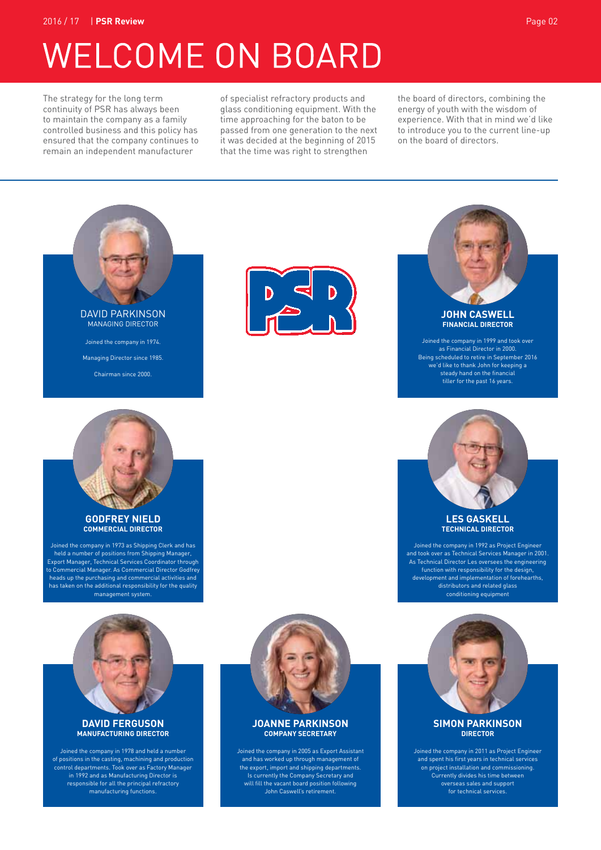2016 / 17 | **PSR Review** Page 02

## **WELCOME ON BOARD**

The strategy for the long term continuity of PSR has always been to maintain the company as a family controlled business and this policy has ensured that the company continues to remain an independent manufacturer

of specialist refractory products and glass conditioning equipment. With the time approaching for the baton to be passed from one generation to the next it was decided at the beginning of 2015 that the time was right to strengthen

the board of directors, combining the energy of youth with the wisdom of experience. With that in mind we'd like to introduce you to the current line-up on the board of directors.



Chairman since 2000.





Joined the company in 1999 and took over as Financial Director in 2000. Being scheduled to retire in September 2016 <sub>.</sub><br>ve'd like to thank John for keeping a steady hand on the financial tiller for the past 16 years.



#### **LES GASKELL TECHNICAL DIRECTOR**

Joined the company in 1992 as Project Engineer and took over as Technical Services Manager in 2001. As Technical Director Les oversees the engineering function with responsibility for the design, development and implementation of forehearths, distributors and related glass conditioning equipment



Joined the company in 2011 as Project Engineer and spent his first years in technical services on project installation and commissioning. Currently divides his time between overseas sales and support for technical services.



#### **GODFREY NIELD COMMERCIAL DIRECTOR**

Joined the company in 1973 as Shipping Clerk and has held a number of positions from Shipping Manager, Export Manager, Technical Services Coordinator through to Commercial Manager. As Commercial Director Godfrey heads up the purchasing and commercial activities and has taken on the additional responsibility for the quality management system.



#### **DAVID FERGUSON MANUFACTURING DIRECTOR**

Joined the company in 1978 and held a number of positions in the casting, machining and production control departments. Took over as Factory Manager in 1992 and as Manufacturing Director is responsible for all the principal refractory manufacturing functions.



#### **JOANNE PARKINSON COMPANY SECRETARY**

Joined the company in 2005 as Export Assistant and has worked up through management of the export, import and shipping departments. Is currently the Company Secretary and will fill the vacant board position following John Caswell's retirement.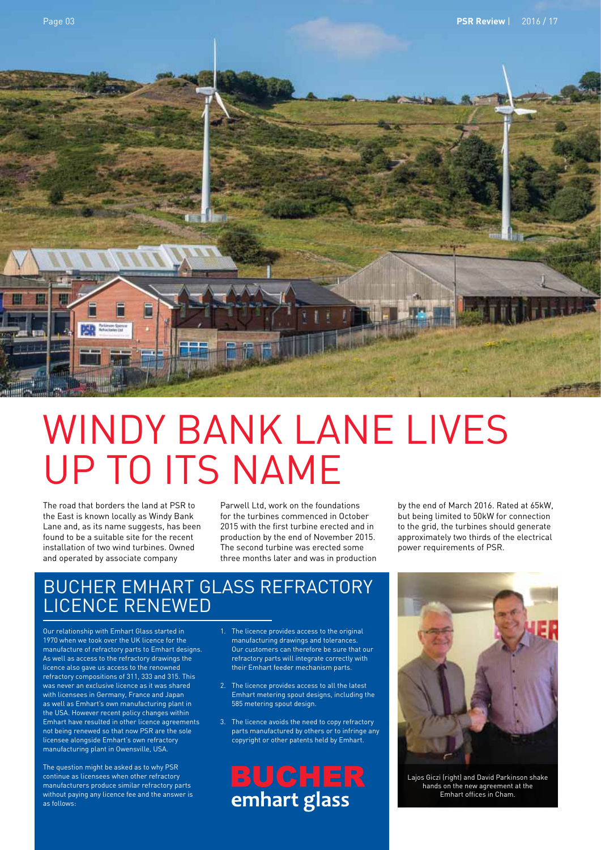

## WINDY BANK LANE LIVES UP TO ITS NAME

The road that borders the land at PSR to the East is known locally as Windy Bank Lane and, as its name suggests, has been found to be a suitable site for the recent installation of two wind turbines. Owned and operated by associate company

Parwell Ltd, work on the foundations for the turbines commenced in October 2015 with the first turbine erected and in production by the end of November 2015. The second turbine was erected some three months later and was in production by the end of March 2016. Rated at 65kW, but being limited to 50kW for connection to the grid, the turbines should generate approximately two thirds of the electrical power requirements of PSR.

#### BUCHER EMHART GLASS REFRACTORY LICENCE RENEWED

Our relationship with Emhart Glass started in 1970 when we took over the UK licence for the manufacture of refractory parts to Emhart designs. As well as access to the refractory drawings the licence also gave us access to the renowned refractory compositions of 311, 333 and 315. This was never an exclusive licence as it was shared with licensees in Germany, France and Japan as well as Emhart's own manufacturing plant in the USA. However recent policy changes within Emhart have resulted in other licence agreements not being renewed so that now PSR are the sole licensee alongside Emhart's own refractory manufacturing plant in Owensville, USA.

The question might be asked as to why PSR continue as licensees when other refractory manufacturers produce similar refractory parts without paying any licence fee and the answer is as follows:

- 1. The licence provides access to the original manufacturing drawings and tolerances. Our customers can therefore be sure that our refractory parts will integrate correctly with their Emhart feeder mechanism parts.
- 2. The licence provides access to all the latest Emhart metering spout designs, including the 585 metering spout design.
- 3. The licence avoids the need to copy refractory parts manufactured by others or to infringe any copyright or other patents held by Emhart.

**BUCHER**<br>emhart glass



Lajos Giczi (right) and David Parkinson shake hands on the new agreement at the Emhart offices in Cham.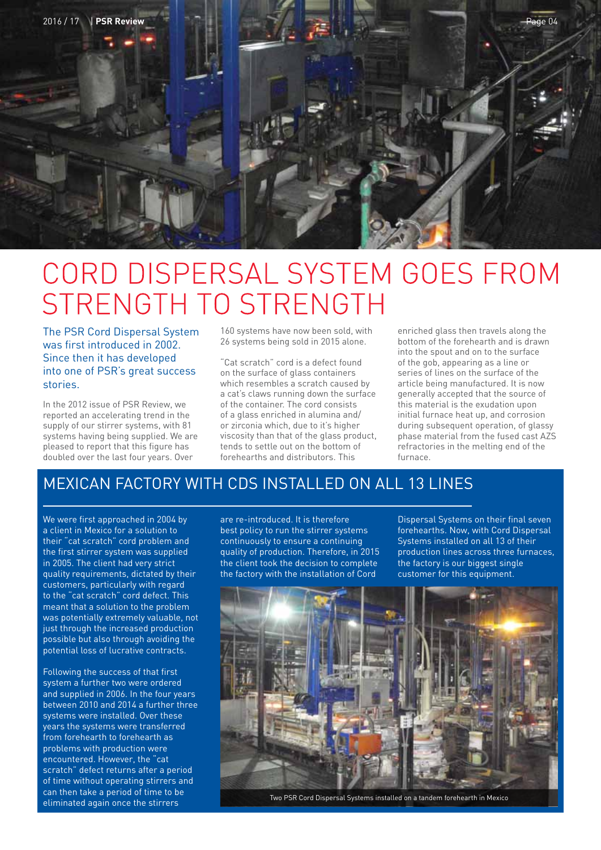

## CORD DISPERSAL SYSTEM GOES FROM STRENGTH TO STRENGTH

The PSR Cord Dispersal System was first introduced in 2002. Since then it has developed into one of PSR's great success stories.

In the 2012 issue of PSR Review, we reported an accelerating trend in the supply of our stirrer systems, with 81 systems having being supplied. We are pleased to report that this figure has doubled over the last four years. Over

160 systems have now been sold, with 26 systems being sold in 2015 alone.

"Cat scratch" cord is a defect found on the surface of glass containers which resembles a scratch caused by a cat's claws running down the surface of the container. The cord consists of a glass enriched in alumina and/ or zirconia which, due to it's higher viscosity than that of the glass product, tends to settle out on the bottom of forehearths and distributors. This

enriched glass then travels along the bottom of the forehearth and is drawn into the spout and on to the surface of the gob, appearing as a line or series of lines on the surface of the article being manufactured. It is now generally accepted that the source of this material is the exudation upon initial furnace heat up, and corrosion during subsequent operation, of glassy phase material from the fused cast AZS refractories in the melting end of the furnace.

#### MEXICAN FACTORY WITH CDS INSTALLED ON ALL 13 LINES

We were first approached in 2004 by a client in Mexico for a solution to their "cat scratch" cord problem and the first stirrer system was supplied in 2005. The client had very strict quality requirements, dictated by their customers, particularly with regard to the "cat scratch" cord defect. This meant that a solution to the problem was potentially extremely valuable, not just through the increased production possible but also through avoiding the potential loss of lucrative contracts.

Following the success of that first system a further two were ordered and supplied in 2006. In the four years between 2010 and 2014 a further three systems were installed. Over these years the systems were transferred from forehearth to forehearth as problems with production were encountered. However, the "cat scratch" defect returns after a period of time without operating stirrers and can then take a period of time to be eliminated again once the stirrers

are re-introduced. It is therefore best policy to run the stirrer systems continuously to ensure a continuing quality of production. Therefore, in 2015 the client took the decision to complete the factory with the installation of Cord

Dispersal Systems on their final seven forehearths. Now, with Cord Dispersal Systems installed on all 13 of their production lines across three furnaces, the factory is our biggest single customer for this equipment.



Two PSR Cord Dispersal Systems installed on a tandem forehearth in Mexico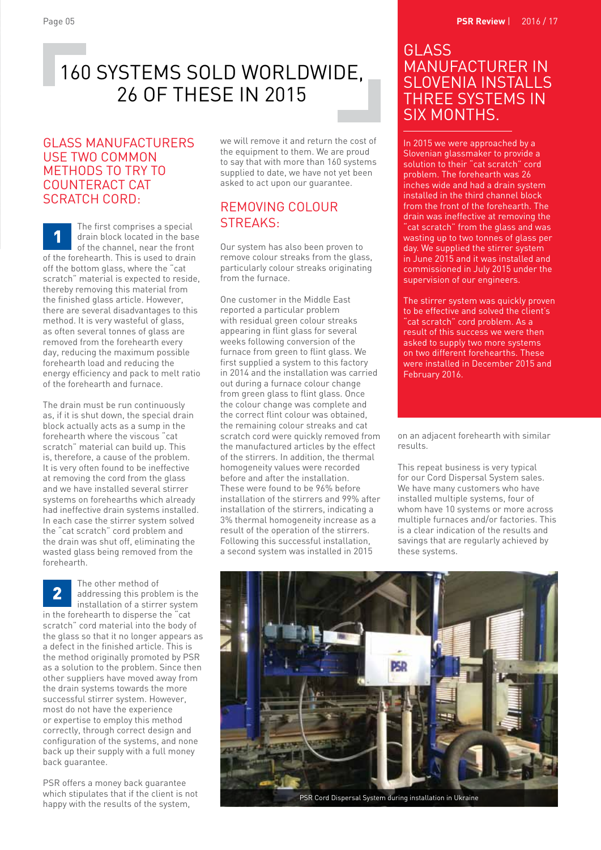## 160 SYSTEMS SOLD WORLDWIDE, 26 OF THESE IN 2015

#### GLASS MANUFACTURERS USE TWO COMMON METHODS TO TRY TO COUNTERACT CAT SCRATCH CORD:

The first comprises a special drain block located in the base of the channel, near the front of the forehearth. This is used to drain off the bottom glass, where the "cat scratch" material is expected to reside, thereby removing this material from the finished glass article. However, there are several disadvantages to this method. It is very wasteful of glass, as often several tonnes of glass are removed from the forehearth every day, reducing the maximum possible forehearth load and reducing the energy efficiency and pack to melt ratio of the forehearth and furnace.

The drain must be run continuously as, if it is shut down, the special drain block actually acts as a sump in the forehearth where the viscous "cat scratch" material can build up. This is, therefore, a cause of the problem. It is very often found to be ineffective at removing the cord from the glass and we have installed several stirrer systems on forehearths which already had ineffective drain systems installed. In each case the stirrer system solved the "cat scratch" cord problem and the drain was shut off, eliminating the wasted glass being removed from the forehearth.

The other method of addressing this problem is the installation of a stirrer system in the forehearth to disperse the "cat scratch" cord material into the body of the glass so that it no longer appears as a defect in the finished article. This is the method originally promoted by PSR as a solution to the problem. Since then other suppliers have moved away from the drain systems towards the more successful stirrer system. However, most do not have the experience or expertise to employ this method correctly, through correct design and configuration of the systems, and none back up their supply with a full money back guarantee.

PSR offers a money back guarantee which stipulates that if the client is not happy with the results of the system,

we will remove it and return the cost of the equipment to them. We are proud to say that with more than 160 systems supplied to date, we have not yet been asked to act upon our guarantee.

#### REMOVING COLOUR STREAKS:

Our system has also been proven to remove colour streaks from the glass, particularly colour streaks originating from the furnace.

One customer in the Middle East reported a particular problem with residual green colour streaks appearing in flint glass for several weeks following conversion of the furnace from green to flint glass. We first supplied a system to this factory in 2014 and the installation was carried out during a furnace colour change from green glass to flint glass. Once the colour change was complete and the correct flint colour was obtained, the remaining colour streaks and cat scratch cord were quickly removed from the manufactured articles by the effect of the stirrers. In addition, the thermal homogeneity values were recorded before and after the installation. These were found to be 96% before installation of the stirrers and 99% after installation of the stirrers, indicating a 3% thermal homogeneity increase as a result of the operation of the stirrers. Following this successful installation, a second system was installed in 2015

#### GLASS MANUFACTURER IN SLOVENIA INSTALLS THREE SYSTEMS IN SIX MONTHS.

In 2015 we were approached by a Slovenian glassmaker to provide a solution to their "cat scratch" cord problem. The forehearth was 26 inches wide and had a drain system installed in the third channel block from the front of the forehearth. The drain was ineffective at removing the "cat scratch" from the glass and was wasting up to two tonnes of glass per day. We supplied the stirrer system in June 2015 and it was installed and commissioned in July 2015 under the supervision of our engineers.

The stirrer system was quickly proven to be effective and solved the client's "cat scratch" cord problem. As a result of this success we were then asked to supply two more systems on two different forehearths. These were installed in December 2015 and February 2016.

on an adjacent forehearth with similar results.

This repeat business is very typical for our Cord Dispersal System sales. We have many customers who have installed multiple systems, four of whom have 10 systems or more across multiple furnaces and/or factories. This is a clear indication of the results and savings that are regularly achieved by these systems.



PSR Cord Dispersal System during installation in Ukraine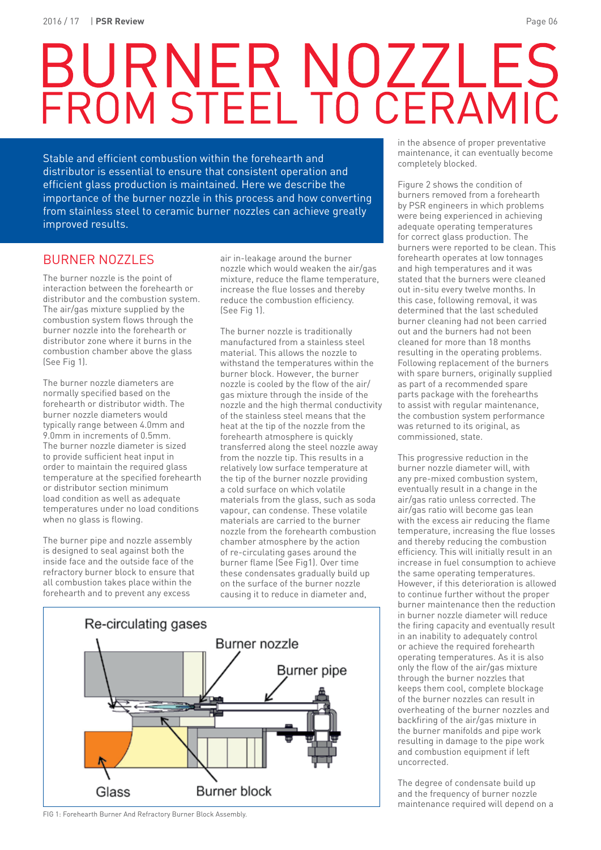# BURNER NOZZLES<br>FROM STEEL TO CERAMIC

Stable and efficient combustion within the forehearth and distributor is essential to ensure that consistent operation and efficient glass production is maintained. Here we describe the importance of the burner nozzle in this process and how converting from stainless steel to ceramic burner nozzles can achieve greatly improved results.

#### BURNER NOZZLES

The burner nozzle is the point of interaction between the forehearth or distributor and the combustion system. The air/gas mixture supplied by the combustion system flows through the burner nozzle into the forehearth or distributor zone where it burns in the combustion chamber above the glass (See Fig 1).

The burner nozzle diameters are normally specified based on the forehearth or distributor width. The burner nozzle diameters would typically range between 4.0mm and 9.0mm in increments of 0.5mm. The burner nozzle diameter is sized to provide sufficient heat input in order to maintain the required glass temperature at the specified forehearth or distributor section minimum load condition as well as adequate temperatures under no load conditions when no glass is flowing.

The burner pipe and nozzle assembly is designed to seal against both the inside face and the outside face of the refractory burner block to ensure that all combustion takes place within the forehearth and to prevent any excess

air in-leakage around the burner nozzle which would weaken the air/gas mixture, reduce the flame temperature, increase the flue losses and thereby reduce the combustion efficiency. (See Fig 1).

The burner nozzle is traditionally manufactured from a stainless steel material. This allows the nozzle to withstand the temperatures within the burner block. However, the burner nozzle is cooled by the flow of the air/ gas mixture through the inside of the nozzle and the high thermal conductivity of the stainless steel means that the heat at the tip of the nozzle from the forehearth atmosphere is quickly transferred along the steel nozzle away from the nozzle tip. This results in a relatively low surface temperature at the tip of the burner nozzle providing a cold surface on which volatile materials from the glass, such as soda vapour, can condense. These volatile materials are carried to the burner nozzle from the forehearth combustion chamber atmosphere by the action of re-circulating gases around the burner flame (See Fig1). Over time these condensates gradually build up on the surface of the burner nozzle causing it to reduce in diameter and,



FIG 1: Forehearth Burner And Refractory Burner Block Assembly.

in the absence of proper preventative maintenance, it can eventually become completely blocked.

Figure 2 shows the condition of burners removed from a forehearth by PSR engineers in which problems were being experienced in achieving adequate operating temperatures for correct glass production. The burners were reported to be clean. This forehearth operates at low tonnages and high temperatures and it was stated that the burners were cleaned out in-situ every twelve months. In this case, following removal, it was determined that the last scheduled burner cleaning had not been carried out and the burners had not been cleaned for more than 18 months resulting in the operating problems. Following replacement of the burners with spare burners, originally supplied as part of a recommended spare parts package with the forehearths to assist with regular maintenance, the combustion system performance was returned to its original, as commissioned, state.

This progressive reduction in the burner nozzle diameter will, with any pre-mixed combustion system, eventually result in a change in the air/gas ratio unless corrected. The air/gas ratio will become gas lean with the excess air reducing the flame temperature, increasing the flue losses and thereby reducing the combustion efficiency. This will initially result in an increase in fuel consumption to achieve the same operating temperatures. However, if this deterioration is allowed to continue further without the proper burner maintenance then the reduction in burner nozzle diameter will reduce the firing capacity and eventually result in an inability to adequately control or achieve the required forehearth operating temperatures. As it is also only the flow of the air/gas mixture through the burner nozzles that keeps them cool, complete blockage of the burner nozzles can result in overheating of the burner nozzles and backfiring of the air/gas mixture in the burner manifolds and pipe work resulting in damage to the pipe work and combustion equipment if left uncorrected.

The degree of condensate build up and the frequency of burner nozzle maintenance required will depend on a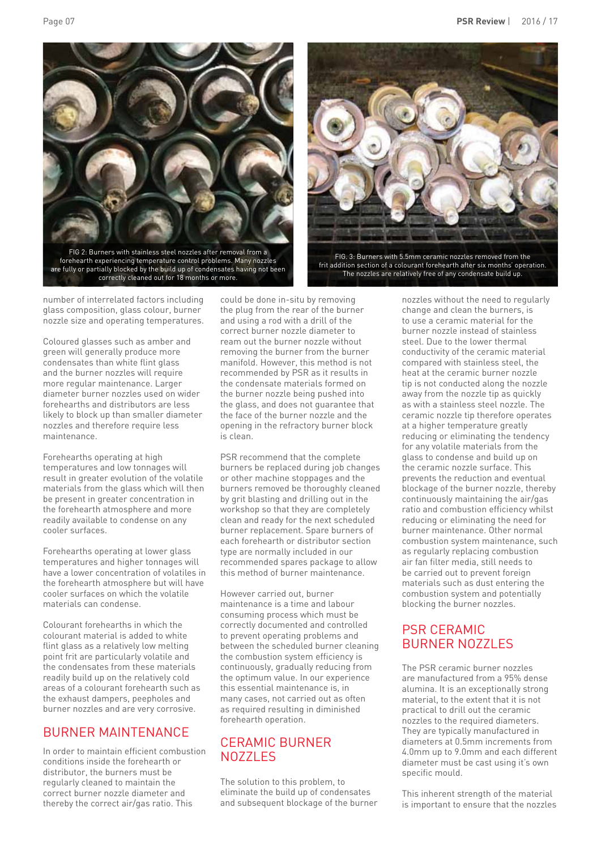Page 07 **PSR Review** | 2016 / 17





FIG. 3: Burners with 5.5mm ceramic nozzles removed from the frit addition section of a colourant forehearth after six months' operation. The nozzles are relatively free of any condensate build up.

number of interrelated factors including glass composition, glass colour, burner nozzle size and operating temperatures.

Coloured glasses such as amber and green will generally produce more condensates than white flint glass and the burner nozzles will require more regular maintenance. Larger diameter burner nozzles used on wider forehearths and distributors are less likely to block up than smaller diameter nozzles and therefore require less maintenance.

Forehearths operating at high temperatures and low tonnages will result in greater evolution of the volatile materials from the glass which will then be present in greater concentration in the forehearth atmosphere and more readily available to condense on any cooler surfaces.

Forehearths operating at lower glass temperatures and higher tonnages will have a lower concentration of volatiles in the forehearth atmosphere but will have cooler surfaces on which the volatile materials can condense.

Colourant forehearths in which the colourant material is added to white flint glass as a relatively low melting point frit are particularly volatile and the condensates from these materials readily build up on the relatively cold areas of a colourant forehearth such as the exhaust dampers, peepholes and burner nozzles and are very corrosive.

#### BURNER MAINTENANCE

In order to maintain efficient combustion conditions inside the forehearth or distributor, the burners must be regularly cleaned to maintain the correct burner nozzle diameter and thereby the correct air/gas ratio. This

could be done in-situ by removing the plug from the rear of the burner and using a rod with a drill of the correct burner nozzle diameter to ream out the burner nozzle without removing the burner from the burner manifold. However, this method is not recommended by PSR as it results in the condensate materials formed on the burner nozzle being pushed into the glass, and does not guarantee that the face of the burner nozzle and the opening in the refractory burner block is clean.

PSR recommend that the complete burners be replaced during job changes or other machine stoppages and the burners removed be thoroughly cleaned by grit blasting and drilling out in the workshop so that they are completely clean and ready for the next scheduled burner replacement. Spare burners of each forehearth or distributor section type are normally included in our recommended spares package to allow this method of burner maintenance.

However carried out, burner maintenance is a time and labour consuming process which must be correctly documented and controlled to prevent operating problems and between the scheduled burner cleaning the combustion system efficiency is continuously, gradually reducing from the optimum value. In our experience this essential maintenance is, in many cases, not carried out as often as required resulting in diminished forehearth operation.

#### CERAMIC BURNER NOZZLES

The solution to this problem, to eliminate the build up of condensates and subsequent blockage of the burner nozzles without the need to regularly change and clean the burners, is to use a ceramic material for the burner nozzle instead of stainless steel. Due to the lower thermal conductivity of the ceramic material compared with stainless steel, the heat at the ceramic burner nozzle tip is not conducted along the nozzle away from the nozzle tip as quickly as with a stainless steel nozzle. The ceramic nozzle tip therefore operates at a higher temperature greatly reducing or eliminating the tendency for any volatile materials from the glass to condense and build up on the ceramic nozzle surface. This prevents the reduction and eventual blockage of the burner nozzle, thereby continuously maintaining the air/gas ratio and combustion efficiency whilst reducing or eliminating the need for burner maintenance. Other normal combustion system maintenance, such as regularly replacing combustion air fan filter media, still needs to be carried out to prevent foreign materials such as dust entering the combustion system and potentially blocking the burner nozzles.

#### PSR CERAMIC BURNER NOZZLES

The PSR ceramic burner nozzles are manufactured from a 95% dense alumina. It is an exceptionally strong material, to the extent that it is not practical to drill out the ceramic nozzles to the required diameters. They are typically manufactured in diameters at 0.5mm increments from 4.0mm up to 9.0mm and each different diameter must be cast using it's own specific mould.

This inherent strength of the material is important to ensure that the nozzles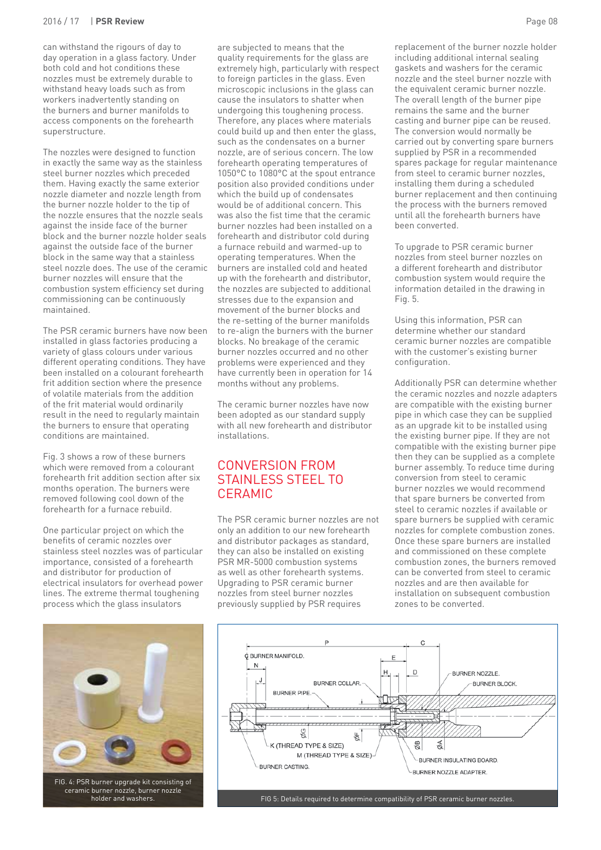#### 2016 / 17 | **PSR Review** Page 08

can withstand the rigours of day to day operation in a glass factory. Under both cold and hot conditions these nozzles must be extremely durable to withstand heavy loads such as from workers inadvertently standing on the burners and burner manifolds to access components on the forehearth superstructure.

The nozzles were designed to function in exactly the same way as the stainless steel burner nozzles which preceded them. Having exactly the same exterior nozzle diameter and nozzle length from the burner nozzle holder to the tip of the nozzle ensures that the nozzle seals against the inside face of the burner block and the burner nozzle holder seals against the outside face of the burner block in the same way that a stainless steel nozzle does. The use of the ceramic burner nozzles will ensure that the combustion system efficiency set during commissioning can be continuously maintained.

The PSR ceramic burners have now been installed in glass factories producing a variety of glass colours under various different operating conditions. They have been installed on a colourant forehearth frit addition section where the presence of volatile materials from the addition of the frit material would ordinarily result in the need to regularly maintain the burners to ensure that operating conditions are maintained.

Fig. 3 shows a row of these burners which were removed from a colourant forehearth frit addition section after six months operation. The burners were removed following cool down of the forehearth for a furnace rebuild.

One particular project on which the benefits of ceramic nozzles over stainless steel nozzles was of particular importance, consisted of a forehearth and distributor for production of electrical insulators for overhead power lines. The extreme thermal toughening process which the glass insulators

are subjected to means that the quality requirements for the glass are extremely high, particularly with respect to foreign particles in the glass. Even microscopic inclusions in the glass can cause the insulators to shatter when undergoing this toughening process. Therefore, any places where materials could build up and then enter the glass, such as the condensates on a burner nozzle, are of serious concern. The low forehearth operating temperatures of 1050°C to 1080°C at the spout entrance position also provided conditions under which the build up of condensates would be of additional concern. This was also the fist time that the ceramic burner nozzles had been installed on a forehearth and distributor cold during a furnace rebuild and warmed-up to operating temperatures. When the burners are installed cold and heated up with the forehearth and distributor, the nozzles are subjected to additional stresses due to the expansion and movement of the burner blocks and the re-setting of the burner manifolds to re-align the burners with the burner blocks. No breakage of the ceramic burner nozzles occurred and no other problems were experienced and they have currently been in operation for 14 months without any problems.

The ceramic burner nozzles have now been adopted as our standard supply with all new forehearth and distributor installations.

#### CONVERSION FROM STAINLESS STEEL TO **CERAMIC**

The PSR ceramic burner nozzles are not only an addition to our new forehearth and distributor packages as standard, they can also be installed on existing PSR MR-5000 combustion systems as well as other forehearth systems. Upgrading to PSR ceramic burner nozzles from steel burner nozzles previously supplied by PSR requires

replacement of the burner nozzle holder including additional internal sealing gaskets and washers for the ceramic nozzle and the steel burner nozzle with the equivalent ceramic burner nozzle. The overall length of the burner pipe remains the same and the burner casting and burner pipe can be reused. The conversion would normally be carried out by converting spare burners supplied by PSR in a recommended spares package for regular maintenance from steel to ceramic burner nozzles, installing them during a scheduled burner replacement and then continuing the process with the burners removed until all the forehearth burners have been converted.

To upgrade to PSR ceramic burner nozzles from steel burner nozzles on a different forehearth and distributor combustion system would require the information detailed in the drawing in Fig. 5.

Using this information, PSR can determine whether our standard ceramic burner nozzles are compatible with the customer's existing burner configuration.

Additionally PSR can determine whether the ceramic nozzles and nozzle adapters are compatible with the existing burner pipe in which case they can be supplied as an upgrade kit to be installed using the existing burner pipe. If they are not compatible with the existing burner pipe then they can be supplied as a complete burner assembly. To reduce time during conversion from steel to ceramic burner nozzles we would recommend that spare burners be converted from steel to ceramic nozzles if available or spare burners be supplied with ceramic nozzles for complete combustion zones. Once these spare burners are installed and commissioned on these complete combustion zones, the burners removed can be converted from steel to ceramic nozzles and are then available for installation on subsequent combustion zones to be converted.





FIG 5: Details required to determine compatibility of PSR ceramic burner nozzles.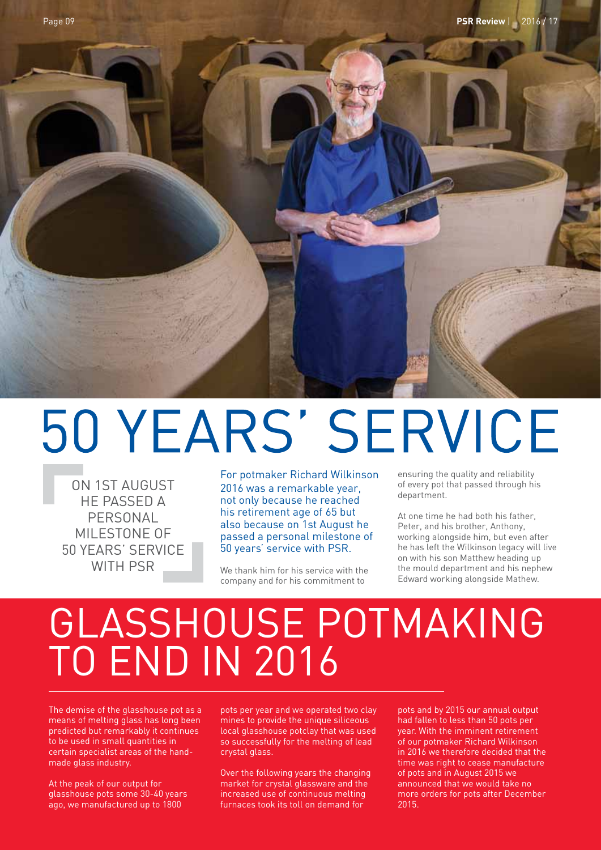

## 50 YEARS' SERVICE

ON 1ST AUGUST HE PASSED A PERSONAL MILESTONE OF 50 YEARS' SERVICE WITH PSR

For potmaker Richard Wilkinson 2016 was a remarkable year, not only because he reached his retirement age of 65 but also because on 1st August he passed a personal milestone of 50 years' service with PSR.

We thank him for his service with the company and for his commitment to

ensuring the quality and reliability of every pot that passed through his department.

At one time he had both his father, Peter, and his brother, Anthony, working alongside him, but even after he has left the Wilkinson legacy will live on with his son Matthew heading up the mould department and his nephew Edward working alongside Mathew.

## GLASSHOUSE POTMAKING TO END IN 2016

The demise of the glasshouse pot as a means of melting glass has long been predicted but remarkably it continues to be used in small quantities in certain specialist areas of the handmade glass industry.

At the peak of our output for glasshouse pots some 30-40 years ago, we manufactured up to 1800

pots per year and we operated two clay mines to provide the unique siliceous local glasshouse potclay that was used so successfully for the melting of lead crystal glass.

Over the following years the changing market for crystal glassware and the increased use of continuous melting furnaces took its toll on demand for

pots and by 2015 our annual output had fallen to less than 50 pots per year. With the imminent retirement of our potmaker Richard Wilkinson in 2016 we therefore decided that the time was right to cease manufacture of pots and in August 2015 we announced that we would take no more orders for pots after December 2015.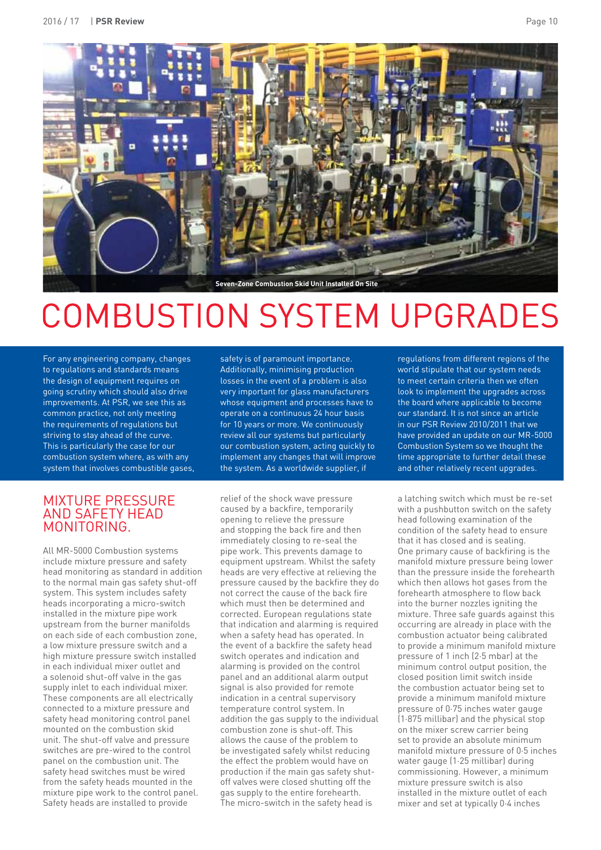

## **COMBUSTION SYSTEM UPGRADES**

For any engineering company, changes to regulations and standards means the design of equipment requires on going scrutiny which should also drive improvements. At PSR, we see this as common practice, not only meeting the requirements of regulations but striving to stay ahead of the curve. This is particularly the case for our combustion system where, as with any system that involves combustible gases, safety is of paramount importance. Additionally, minimising production losses in the event of a problem is also very important for glass manufacturers whose equipment and processes have to operate on a continuous 24 hour basis for 10 years or more. We continuously review all our systems but particularly our combustion system, acting quickly to implement any changes that will improve the system. As a worldwide supplier, if

#### MIXTURE PRESSURE AND SAFETY HEAD MONITORING.

All MR-5000 Combustion systems include mixture pressure and safety head monitoring as standard in addition to the normal main gas safety shut-off system. This system includes safety heads incorporating a micro-switch installed in the mixture pipe work upstream from the burner manifolds on each side of each combustion zone, a low mixture pressure switch and a high mixture pressure switch installed in each individual mixer outlet and a solenoid shut-off valve in the gas supply inlet to each individual mixer. These components are all electrically connected to a mixture pressure and safety head monitoring control panel mounted on the combustion skid unit. The shut-off valve and pressure switches are pre-wired to the control panel on the combustion unit. The safety head switches must be wired from the safety heads mounted in the mixture pipe work to the control panel. Safety heads are installed to provide

relief of the shock wave pressure caused by a backfire, temporarily opening to relieve the pressure and stopping the back fire and then immediately closing to re-seal the pipe work. This prevents damage to equipment upstream. Whilst the safety heads are very effective at relieving the pressure caused by the backfire they do not correct the cause of the back fire which must then be determined and corrected. European regulations state that indication and alarming is required when a safety head has operated. In the event of a backfire the safety head switch operates and indication and alarming is provided on the control panel and an additional alarm output signal is also provided for remote indication in a central supervisory temperature control system. In addition the gas supply to the individual combustion zone is shut-off. This allows the cause of the problem to be investigated safely whilst reducing the effect the problem would have on production if the main gas safety shutoff valves were closed shutting off the gas supply to the entire forehearth. The micro-switch in the safety head is

regulations from different regions of the world stipulate that our system needs to meet certain criteria then we often look to implement the upgrades across the board where applicable to become our standard. It is not since an article in our PSR Review 2010/2011 that we have provided an update on our MR-5000 Combustion System so we thought the time appropriate to further detail these and other relatively recent upgrades.

a latching switch which must be re-set with a pushbutton switch on the safety head following examination of the condition of the safety head to ensure that it has closed and is sealing. One primary cause of backfiring is the manifold mixture pressure being lower than the pressure inside the forehearth which then allows hot gases from the forehearth atmosphere to flow back into the burner nozzles igniting the mixture. Three safe guards against this occurring are already in place with the combustion actuator being calibrated to provide a minimum manifold mixture pressure of 1 inch (2·5 mbar) at the minimum control output position, the closed position limit switch inside the combustion actuator being set to provide a minimum manifold mixture pressure of 0·75 inches water gauge (1·875 millibar) and the physical stop on the mixer screw carrier being set to provide an absolute minimum manifold mixture pressure of 0·5 inches water gauge (1·25 millibar) during commissioning. However, a minimum mixture pressure switch is also installed in the mixture outlet of each mixer and set at typically 0·4 inches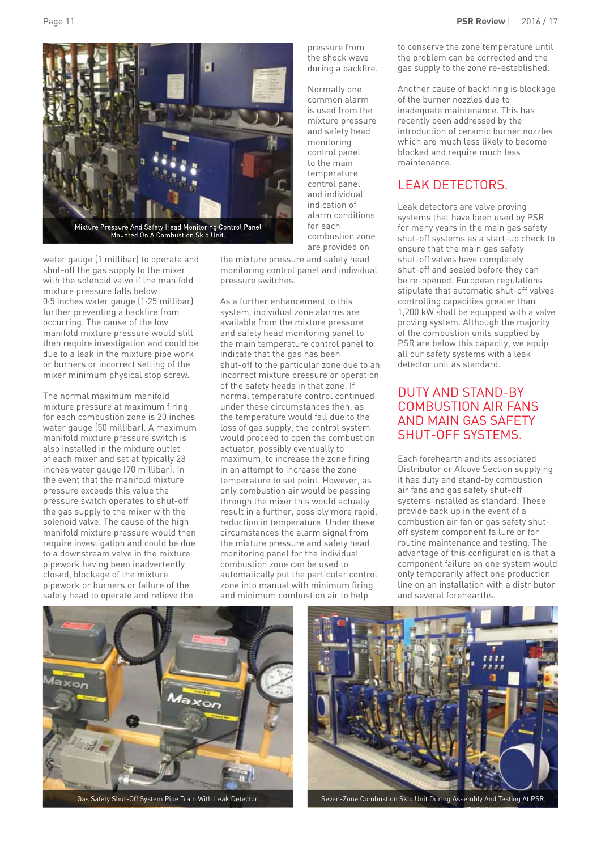



water gauge (1 millibar) to operate and shut-off the gas supply to the mixer with the solenoid valve if the manifold mixture pressure falls below 0·5 inches water gauge (1·25 millibar) further preventing a backfire from occurring. The cause of the low manifold mixture pressure would still then require investigation and could be due to a leak in the mixture pipe work or burners or incorrect setting of the mixer minimum physical stop screw.

The normal maximum manifold mixture pressure at maximum firing for each combustion zone is 20 inches water gauge (50 millibar). A maximum manifold mixture pressure switch is also installed in the mixture outlet of each mixer and set at typically 28 inches water gauge (70 millibar). In the event that the manifold mixture pressure exceeds this value the pressure switch operates to shut-off the gas supply to the mixer with the solenoid valve. The cause of the high manifold mixture pressure would then require investigation and could be due to a downstream valve in the mixture pipework having been inadvertently closed, blockage of the mixture pipework or burners or failure of the safety head to operate and relieve the

the mixture pressure and safety head monitoring control panel and individual pressure switches.

As a further enhancement to this system, individual zone alarms are available from the mixture pressure and safety head monitoring panel to the main temperature control panel to indicate that the gas has been shut-off to the particular zone due to an incorrect mixture pressure or operation of the safety heads in that zone. If normal temperature control continued under these circumstances then, as the temperature would fall due to the loss of gas supply, the control system would proceed to open the combustion actuator, possibly eventually to maximum, to increase the zone firing in an attempt to increase the zone temperature to set point. However, as only combustion air would be passing through the mixer this would actually result in a further, possibly more rapid, reduction in temperature. Under these circumstances the alarm signal from the mixture pressure and safety head monitoring panel for the individual combustion zone can be used to automatically put the particular control zone into manual with minimum firing and minimum combustion air to help

pressure from the shock wave during a backfire.

Normally one common alarm is used from the mixture pressure and safety head monitoring control panel to the main temperature control panel and individual indication of alarm conditions for each combustion zone are provided on

to conserve the zone temperature until the problem can be corrected and the gas supply to the zone re-established.

Another cause of backfiring is blockage of the burner nozzles due to inadequate maintenance. This has recently been addressed by the introduction of ceramic burner nozzles which are much less likely to become blocked and require much less maintenance.

#### LEAK DETECTORS.

Leak detectors are valve proving systems that have been used by PSR for many years in the main gas safety shut-off systems as a start-up check to ensure that the main gas safety shut-off valves have completely shut-off and sealed before they can be re-opened. European regulations stipulate that automatic shut-off valves controlling capacities greater than 1,200 kW shall be equipped with a valve proving system. Although the majority of the combustion units supplied by PSR are below this capacity, we equip all our safety systems with a leak detector unit as standard.

#### DUTY AND STAND-BY COMBUSTION AIR FANS AND MAIN GAS SAFETY SHUT-OFF SYSTEMS.

Each forehearth and its associated Distributor or Alcove Section supplying it has duty and stand-by combustion air fans and gas safety shut-off systems installed as standard. These provide back up in the event of a combustion air fan or gas safety shutoff system component failure or for routine maintenance and testing. The advantage of this configuration is that a component failure on one system would only temporarily affect one production line on an installation with a distributor and several forehearths.



Gas Safety Shut-Off System Pipe Train With Leak Detector.



Seven-Zone Combustion Skid Unit During Assembly And Testing At PSR